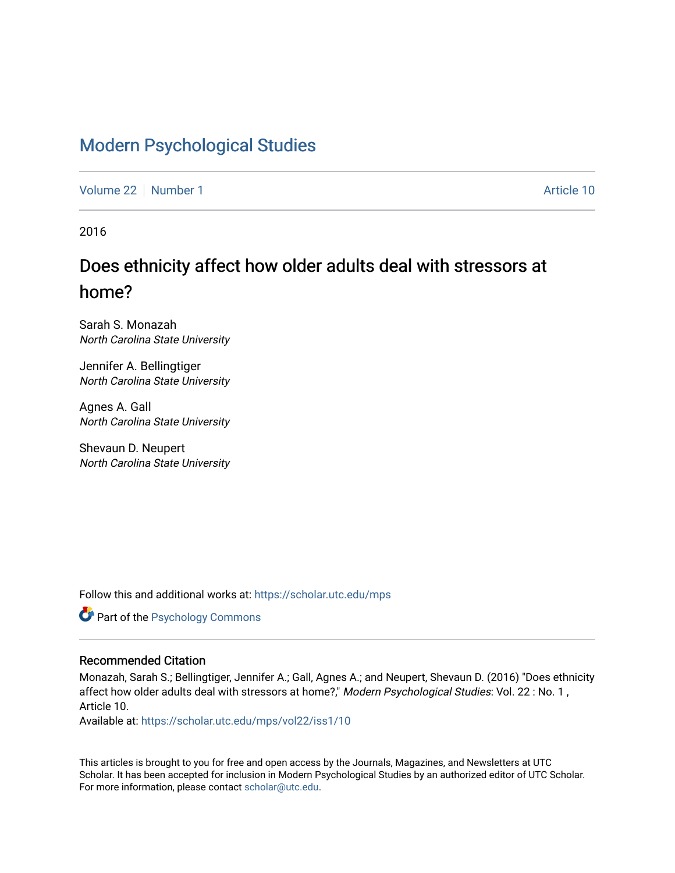# [Modern Psychological Studies](https://scholar.utc.edu/mps)

[Volume 22](https://scholar.utc.edu/mps/vol22) [Number 1](https://scholar.utc.edu/mps/vol22/iss1) Article 10

2016

# Does ethnicity affect how older adults deal with stressors at home?

Sarah S. Monazah North Carolina State University

Jennifer A. Bellingtiger North Carolina State University

Agnes A. Gall North Carolina State University

Shevaun D. Neupert North Carolina State University

Follow this and additional works at: [https://scholar.utc.edu/mps](https://scholar.utc.edu/mps?utm_source=scholar.utc.edu%2Fmps%2Fvol22%2Fiss1%2F10&utm_medium=PDF&utm_campaign=PDFCoverPages) 

Part of the [Psychology Commons](http://network.bepress.com/hgg/discipline/404?utm_source=scholar.utc.edu%2Fmps%2Fvol22%2Fiss1%2F10&utm_medium=PDF&utm_campaign=PDFCoverPages) 

#### Recommended Citation

Monazah, Sarah S.; Bellingtiger, Jennifer A.; Gall, Agnes A.; and Neupert, Shevaun D. (2016) "Does ethnicity affect how older adults deal with stressors at home?," Modern Psychological Studies: Vol. 22 : No. 1, Article 10.

Available at: [https://scholar.utc.edu/mps/vol22/iss1/10](https://scholar.utc.edu/mps/vol22/iss1/10?utm_source=scholar.utc.edu%2Fmps%2Fvol22%2Fiss1%2F10&utm_medium=PDF&utm_campaign=PDFCoverPages)

This articles is brought to you for free and open access by the Journals, Magazines, and Newsletters at UTC Scholar. It has been accepted for inclusion in Modern Psychological Studies by an authorized editor of UTC Scholar. For more information, please contact [scholar@utc.edu](mailto:scholar@utc.edu).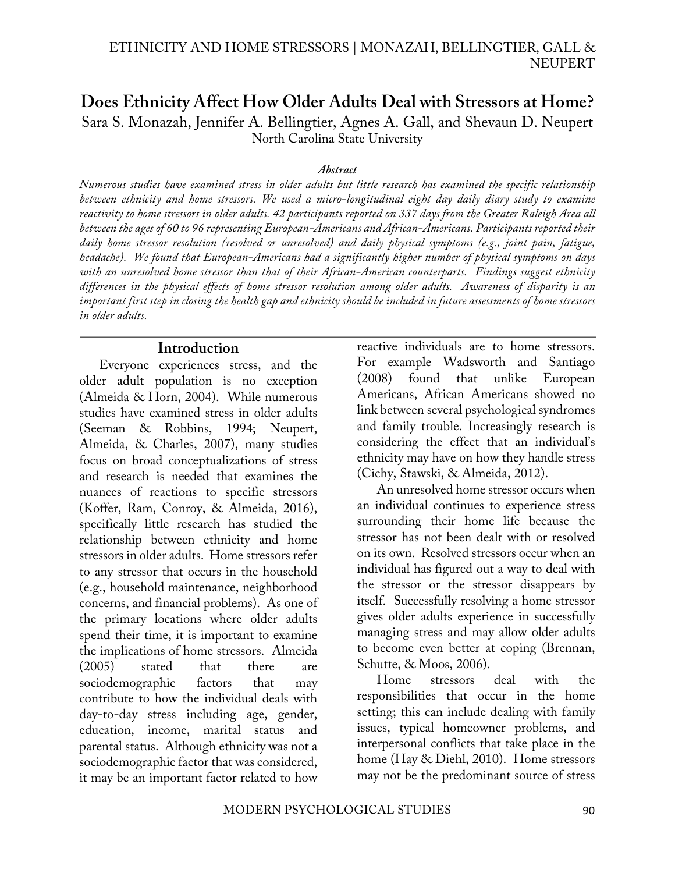# **Does Ethnicity Affect How Older Adults Deal with Stressors at Home?** Sara S. Monazah, Jennifer A. Bellingtier, Agnes A. Gall, and Shevaun D. Neupert North Carolina State University

#### *Abstract*

*Numerous studies have examined stress in older adults but little research has examined the specific relationship between ethnicity and home stressors. We used a micro-longitudinal eight day daily diary study to examine reactivity to home stressors in older adults. 42 participants reported on 337 days from the Greater Raleigh Area all between the ages of 60 to 96 representing European-Americans and African-Americans. Participants reported their daily home stressor resolution (resolved or unresolved) and daily physical symptoms (e.g., joint pain, fatigue, headache). We found that European-Americans had a significantly higher number of physical symptoms on days with an unresolved home stressor than that of their African-American counterparts. Findings suggest ethnicity differences in the physical effects of home stressor resolution among older adults. Awareness of disparity is an important first step in closing the health gap and ethnicity should be included in future assessments of home stressors in older adults.* 

#### **Introduction**

Everyone experiences stress, and the older adult population is no exception (Almeida & Horn, 2004). While numerous studies have examined stress in older adults (Seeman & Robbins, 1994; Neupert, Almeida, & Charles, 2007), many studies focus on broad conceptualizations of stress and research is needed that examines the nuances of reactions to specific stressors (Koffer, Ram, Conroy, & Almeida, 2016), specifically little research has studied the relationship between ethnicity and home stressors in older adults. Home stressors refer to any stressor that occurs in the household (e.g., household maintenance, neighborhood concerns, and financial problems). As one of the primary locations where older adults spend their time, it is important to examine the implications of home stressors. Almeida (2005) stated that there are sociodemographic factors that may contribute to how the individual deals with day-to-day stress including age, gender, education, income, marital status and parental status. Although ethnicity was not a sociodemographic factor that was considered, it may be an important factor related to how

reactive individuals are to home stressors. For example Wadsworth and Santiago (2008) found that unlike European Americans, African Americans showed no link between several psychological syndromes and family trouble. Increasingly research is considering the effect that an individual's ethnicity may have on how they handle stress (Cichy, Stawski, & Almeida, 2012).

An unresolved home stressor occurs when an individual continues to experience stress surrounding their home life because the stressor has not been dealt with or resolved on its own. Resolved stressors occur when an individual has figured out a way to deal with the stressor or the stressor disappears by itself. Successfully resolving a home stressor gives older adults experience in successfully managing stress and may allow older adults to become even better at coping (Brennan, Schutte, & Moos, 2006).

Home stressors deal with the responsibilities that occur in the home setting; this can include dealing with family issues, typical homeowner problems, and interpersonal conflicts that take place in the home (Hay & Diehl, 2010). Home stressors may not be the predominant source of stress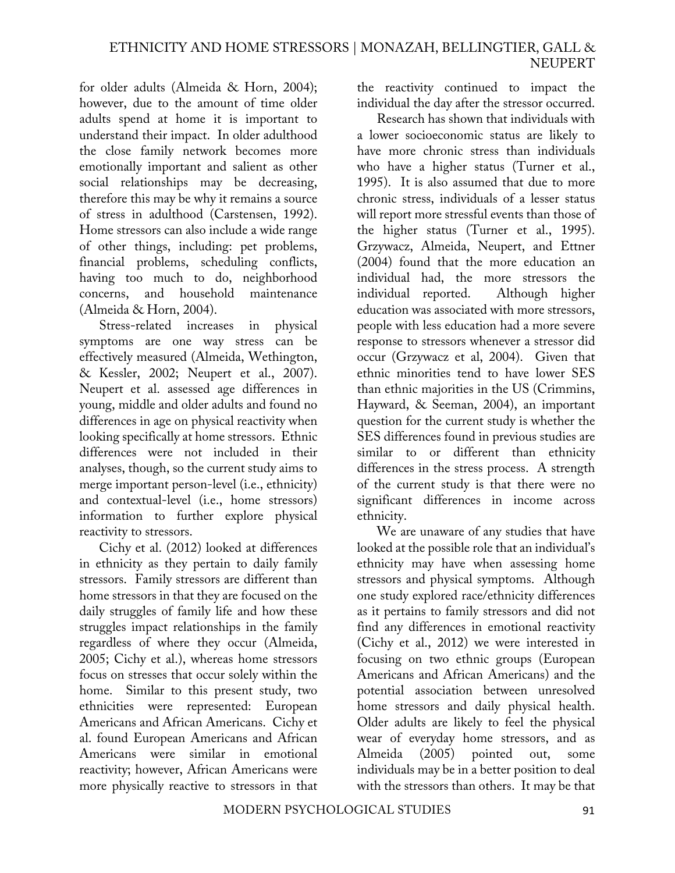for older adults (Almeida & Horn, 2004); however, due to the amount of time older adults spend at home it is important to understand their impact. In older adulthood the close family network becomes more emotionally important and salient as other social relationships may be decreasing, therefore this may be why it remains a source of stress in adulthood (Carstensen, 1992). Home stressors can also include a wide range of other things, including: pet problems, financial problems, scheduling conflicts, having too much to do, neighborhood concerns, and household maintenance (Almeida & Horn, 2004).

Stress-related increases in physical symptoms are one way stress can be effectively measured (Almeida, Wethington, & Kessler, 2002; Neupert et al., 2007). Neupert et al. assessed age differences in young, middle and older adults and found no differences in age on physical reactivity when looking specifically at home stressors. Ethnic differences were not included in their analyses, though, so the current study aims to merge important person-level (i.e., ethnicity) and contextual-level (i.e., home stressors) information to further explore physical reactivity to stressors.

Cichy et al. (2012) looked at differences in ethnicity as they pertain to daily family stressors. Family stressors are different than home stressors in that they are focused on the daily struggles of family life and how these struggles impact relationships in the family regardless of where they occur (Almeida, 2005; Cichy et al.), whereas home stressors focus on stresses that occur solely within the home. Similar to this present study, two ethnicities were represented: European Americans and African Americans. Cichy et al. found European Americans and African Americans were similar in emotional reactivity; however, African Americans were more physically reactive to stressors in that

the reactivity continued to impact the individual the day after the stressor occurred.

Research has shown that individuals with a lower socioeconomic status are likely to have more chronic stress than individuals who have a higher status (Turner et al., 1995). It is also assumed that due to more chronic stress, individuals of a lesser status will report more stressful events than those of the higher status (Turner et al., 1995). Grzywacz, Almeida, Neupert, and Ettner (2004) found that the more education an individual had, the more stressors the individual reported. Although higher education was associated with more stressors, people with less education had a more severe response to stressors whenever a stressor did occur (Grzywacz et al, 2004). Given that ethnic minorities tend to have lower SES than ethnic majorities in the US (Crimmins, Hayward, & Seeman, 2004), an important question for the current study is whether the SES differences found in previous studies are similar to or different than ethnicity differences in the stress process. A strength of the current study is that there were no significant differences in income across ethnicity.

We are unaware of any studies that have looked at the possible role that an individual's ethnicity may have when assessing home stressors and physical symptoms. Although one study explored race/ethnicity differences as it pertains to family stressors and did not find any differences in emotional reactivity (Cichy et al., 2012) we were interested in focusing on two ethnic groups (European Americans and African Americans) and the potential association between unresolved home stressors and daily physical health. Older adults are likely to feel the physical wear of everyday home stressors, and as Almeida (2005) pointed out, some individuals may be in a better position to deal with the stressors than others. It may be that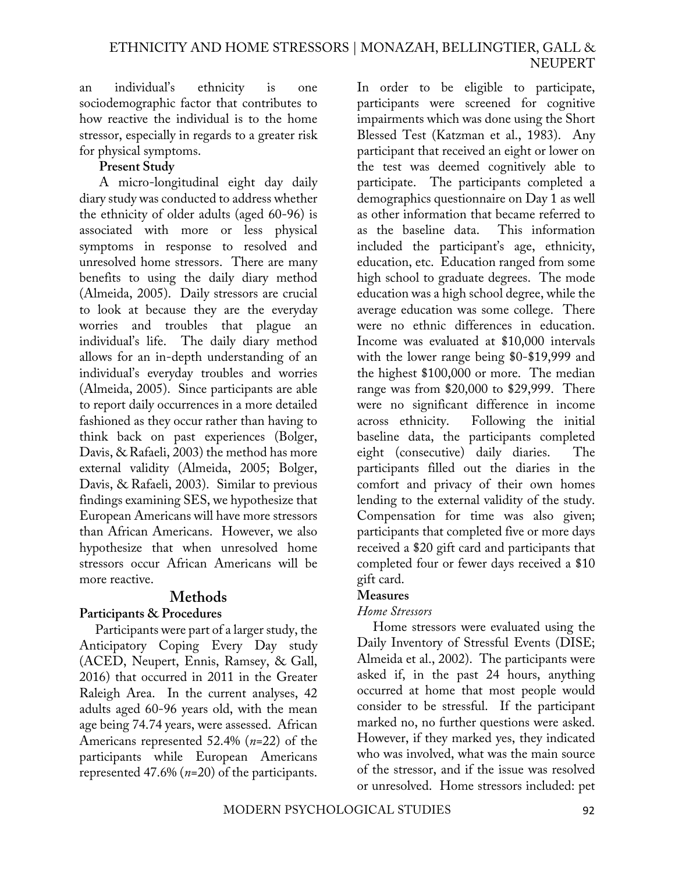an individual's ethnicity is one sociodemographic factor that contributes to how reactive the individual is to the home stressor, especially in regards to a greater risk for physical symptoms.

# **Present Study**

A micro-longitudinal eight day daily diary study was conducted to address whether the ethnicity of older adults (aged 60-96) is associated with more or less physical symptoms in response to resolved and unresolved home stressors. There are many benefits to using the daily diary method (Almeida, 2005). Daily stressors are crucial to look at because they are the everyday worries and troubles that plague an individual's life. The daily diary method allows for an in-depth understanding of an individual's everyday troubles and worries (Almeida, 2005). Since participants are able to report daily occurrences in a more detailed fashioned as they occur rather than having to think back on past experiences (Bolger, Davis, & Rafaeli, 2003) the method has more external validity (Almeida, 2005; Bolger, Davis, & Rafaeli, 2003). Similar to previous findings examining SES, we hypothesize that European Americans will have more stressors than African Americans. However, we also hypothesize that when unresolved home stressors occur African Americans will be more reactive.

# **Methods**

# **Participants & Procedures**

Participants were part of a larger study, the Anticipatory Coping Every Day study (ACED, Neupert, Ennis, Ramsey, & Gall, 2016) that occurred in 2011 in the Greater Raleigh Area. In the current analyses, 42 adults aged 60-96 years old, with the mean age being 74.74 years, were assessed. African Americans represented 52.4% (*n*=22) of the participants while European Americans represented 47.6% (*n*=20) of the participants.

In order to be eligible to participate, participants were screened for cognitive impairments which was done using the Short Blessed Test (Katzman et al., 1983). Any participant that received an eight or lower on the test was deemed cognitively able to participate. The participants completed a demographics questionnaire on Day 1 as well as other information that became referred to as the baseline data. This information included the participant's age, ethnicity, education, etc. Education ranged from some high school to graduate degrees. The mode education was a high school degree, while the average education was some college. There were no ethnic differences in education. Income was evaluated at \$10,000 intervals with the lower range being \$0-\$19,999 and the highest \$100,000 or more. The median range was from \$20,000 to \$29,999. There were no significant difference in income across ethnicity. Following the initial baseline data, the participants completed eight (consecutive) daily diaries. The participants filled out the diaries in the comfort and privacy of their own homes lending to the external validity of the study. Compensation for time was also given; participants that completed five or more days received a \$20 gift card and participants that completed four or fewer days received a \$10 gift card.

# **Measures**

# *Home Stressors*

Home stressors were evaluated using the Daily Inventory of Stressful Events (DISE; Almeida et al., 2002). The participants were asked if, in the past 24 hours, anything occurred at home that most people would consider to be stressful. If the participant marked no, no further questions were asked. However, if they marked yes, they indicated who was involved, what was the main source of the stressor, and if the issue was resolved or unresolved. Home stressors included: pet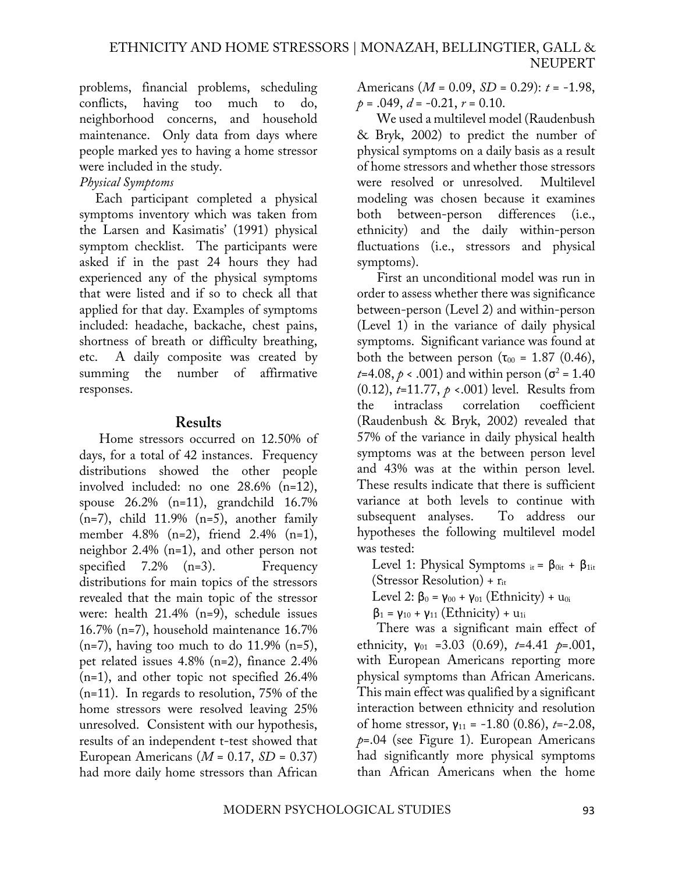problems, financial problems, scheduling conflicts, having too much to do, neighborhood concerns, and household maintenance. Only data from days where people marked yes to having a home stressor were included in the study.

#### *Physical Symptoms*

Each participant completed a physical symptoms inventory which was taken from the Larsen and Kasimatis' (1991) physical symptom checklist. The participants were asked if in the past 24 hours they had experienced any of the physical symptoms that were listed and if so to check all that applied for that day. Examples of symptoms included: headache, backache, chest pains, shortness of breath or difficulty breathing, etc. A daily composite was created by summing the number of affirmative responses.

#### **Results**

Home stressors occurred on 12.50% of days, for a total of 42 instances. Frequency distributions showed the other people involved included: no one 28.6% (n=12), spouse 26.2% (n=11), grandchild 16.7%  $(n=7)$ , child 11.9%  $(n=5)$ , another family member 4.8% (n=2), friend 2.4% (n=1), neighbor 2.4% (n=1), and other person not specified  $7.2\%$  (n=3). Frequency distributions for main topics of the stressors revealed that the main topic of the stressor were: health 21.4% (n=9), schedule issues 16.7% (n=7), household maintenance 16.7%  $(n=7)$ , having too much to do 11.9%  $(n=5)$ , pet related issues 4.8% (n=2), finance 2.4% (n=1), and other topic not specified 26.4% (n=11). In regards to resolution, 75% of the home stressors were resolved leaving 25% unresolved. Consistent with our hypothesis, results of an independent t-test showed that European Americans (*M* = 0.17, *SD* = 0.37) had more daily home stressors than African

Americans (*M* = 0.09, *SD* = 0.29): *t* = -1.98,  $p = .049$ ,  $d = -0.21$ ,  $r = 0.10$ .

We used a multilevel model (Raudenbush & Bryk, 2002) to predict the number of physical symptoms on a daily basis as a result of home stressors and whether those stressors were resolved or unresolved. Multilevel modeling was chosen because it examines both between-person differences (i.e., ethnicity) and the daily within-person fluctuations (i.e., stressors and physical symptoms).

First an unconditional model was run in order to assess whether there was significance between-person (Level 2) and within-person (Level 1) in the variance of daily physical symptoms. Significant variance was found at both the between person ( $\tau_{00}$  = 1.87 (0.46), *t*=4.08,  $p \times$  .001) and within person ( $\sigma^2$  = 1.40 (0.12), *t*=11.77, *p* <.001) level. Results from the intraclass correlation coefficient (Raudenbush & Bryk, 2002) revealed that 57% of the variance in daily physical health symptoms was at the between person level and 43% was at the within person level. These results indicate that there is sufficient variance at both levels to continue with subsequent analyses. To address our hypotheses the following multilevel model was tested:

Level 1: Physical Symptoms  $_{it} = \beta_{0it} + \beta_{1it}$ (Stressor Resolution) +  $r_{it}$ 

Level 2: β<sub>0</sub> = γ<sub>00</sub> + γ<sub>01</sub> (Ethnicity) + u<sub>0i</sub>

 $β<sub>1</sub> = ψ<sub>10</sub> + ψ<sub>11</sub> (Ethnicity) + u<sub>1i</sub>$ 

There was a significant main effect of ethnicity,  $y_{01} = 3.03$  (0.69),  $t=4.41$   $p=.001$ , with European Americans reporting more physical symptoms than African Americans. This main effect was qualified by a significant interaction between ethnicity and resolution of home stressor, γ<sup>11</sup> = -1.80 (0.86), *t*=-2.08, *p*=.04 (see Figure 1). European Americans had significantly more physical symptoms than African Americans when the home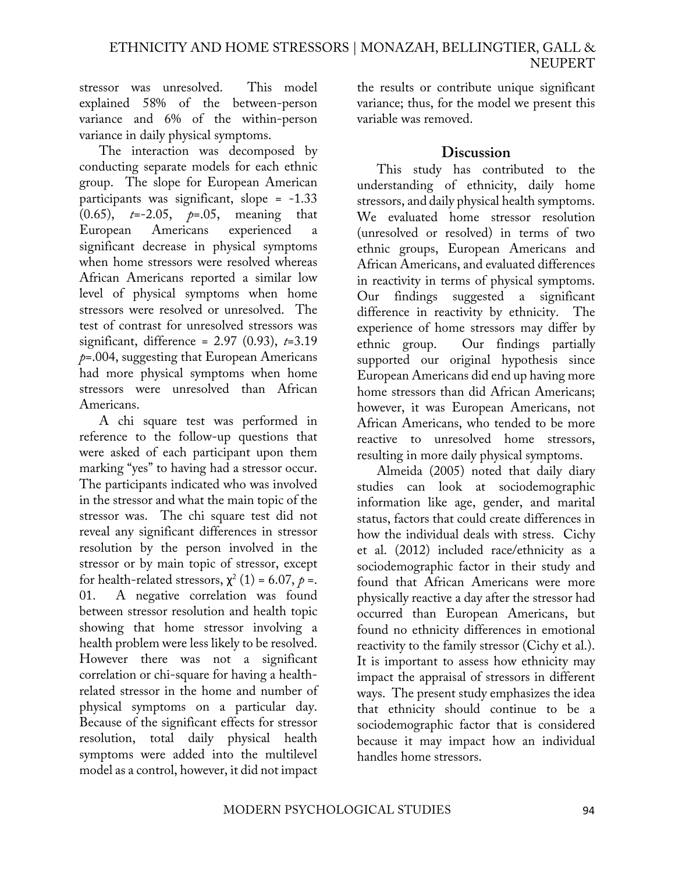stressor was unresolved. This model explained 58% of the between-person variance and 6% of the within-person variance in daily physical symptoms.

The interaction was decomposed by conducting separate models for each ethnic group. The slope for European American participants was significant, slope = -1.33 (0.65), *t*=-2.05, *p*=.05, meaning that European Americans experienced a significant decrease in physical symptoms when home stressors were resolved whereas African Americans reported a similar low level of physical symptoms when home stressors were resolved or unresolved. The test of contrast for unresolved stressors was significant, difference = 2.97 (0.93), *t*=3.19 *p*=.004, suggesting that European Americans had more physical symptoms when home stressors were unresolved than African Americans.

A chi square test was performed in reference to the follow-up questions that were asked of each participant upon them marking "yes" to having had a stressor occur. The participants indicated who was involved in the stressor and what the main topic of the stressor was. The chi square test did not reveal any significant differences in stressor resolution by the person involved in the stressor or by main topic of stressor, except for health-related stressors,  $\chi^2$  (1) = 6.07,  $p$  =. 01. A negative correlation was found between stressor resolution and health topic showing that home stressor involving a health problem were less likely to be resolved. However there was not a significant correlation or chi-square for having a healthrelated stressor in the home and number of physical symptoms on a particular day. Because of the significant effects for stressor resolution, total daily physical health symptoms were added into the multilevel model as a control, however, it did not impact

the results or contribute unique significant variance; thus, for the model we present this variable was removed.

#### **Discussion**

This study has contributed to the understanding of ethnicity, daily home stressors, and daily physical health symptoms. We evaluated home stressor resolution (unresolved or resolved) in terms of two ethnic groups, European Americans and African Americans, and evaluated differences in reactivity in terms of physical symptoms. Our findings suggested a significant difference in reactivity by ethnicity. The experience of home stressors may differ by ethnic group. Our findings partially supported our original hypothesis since European Americans did end up having more home stressors than did African Americans; however, it was European Americans, not African Americans, who tended to be more reactive to unresolved home stressors, resulting in more daily physical symptoms.

Almeida (2005) noted that daily diary studies can look at sociodemographic information like age, gender, and marital status, factors that could create differences in how the individual deals with stress. Cichy et al. (2012) included race/ethnicity as a sociodemographic factor in their study and found that African Americans were more physically reactive a day after the stressor had occurred than European Americans, but found no ethnicity differences in emotional reactivity to the family stressor (Cichy et al.). It is important to assess how ethnicity may impact the appraisal of stressors in different ways. The present study emphasizes the idea that ethnicity should continue to be a sociodemographic factor that is considered because it may impact how an individual handles home stressors.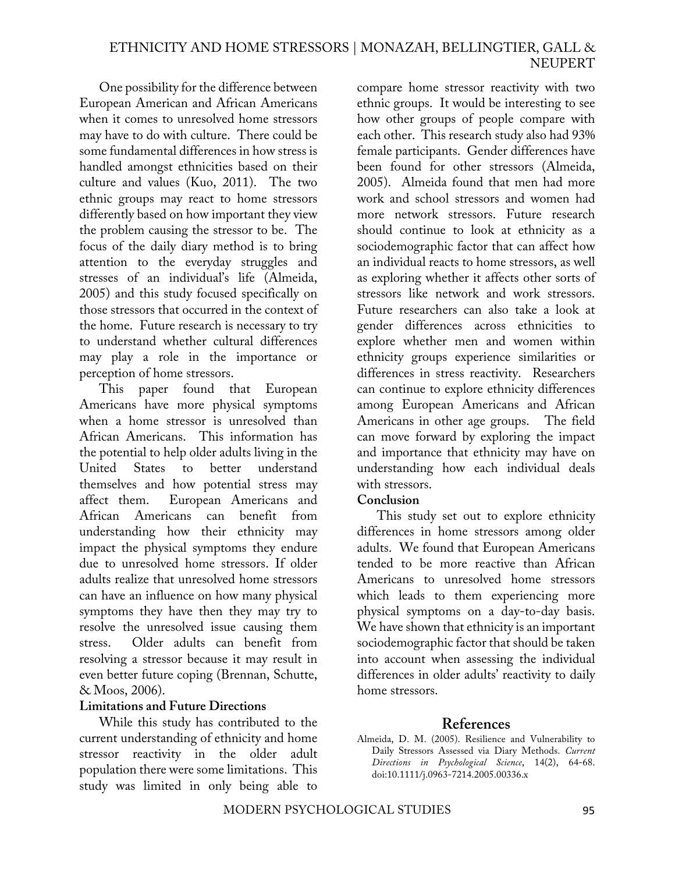One possibility for the difference between European American and African Americans when it comes to unresolved home stressors may have to do with culture. There could be some fundamental differences in how stress is handled amongst ethnicities based on their culture and values (Kuo, 2011). The two ethnic groups may react to home stressors differently based on how important they view the problem causing the stressor to be. The focus of the daily diary method is to bring attention to the everyday struggles and stresses of an individual's life (Almeida, 2005) and this study focused specifically on those stressors that occurred in the context of the home. Future research is necessary to try to understand whether cultural differences may play a role in the importance or perception of home stressors.

This paper found that European Americans have more physical symptoms when a home stressor is unresolved than African Americans. This information has the potential to help older adults living in the United States to better understand themselves and how potential stress may affect them. European Americans and African Americans can benefit from understanding how their ethnicity may impact the physical symptoms they endure due to unresolved home stressors. If older adults realize that unresolved home stressors can have an influence on how many physical symptoms they have then they may try to resolve the unresolved issue causing them stress. Older adults can benefit from resolving a stressor because it may result in even better future coping (Brennan, Schutte, & Moos, 2006).

#### **Limitations and Future Directions**

While this study has contributed to the current understanding of ethnicity and home stressor reactivity in the older adult population there were some limitations. This study was limited in only being able to

compare home stressor reactivity with two ethnic groups. It would be interesting to see how other groups of people compare with each other. This research study also had 93% female participants. Gender differences have been found for other stressors (Almeida, 2005). Almeida found that men had more work and school stressors and women had more network stressors. Future research should continue to look at ethnicity as a sociodemographic factor that can affect how an individual reacts to home stressors, as well as exploring whether it affects other sorts of stressors like network and work stressors. Future researchers can also take a look at gender differences across ethnicities to explore whether men and women within ethnicity groups experience similarities or differences in stress reactivity. Researchers can continue to explore ethnicity differences among European Americans and African Americans in other age groups. The field can move forward by exploring the impact and importance that ethnicity may have on understanding how each individual deals with stressors.

#### **Conclusion**

This study set out to explore ethnicity differences in home stressors among older adults. We found that European Americans tended to be more reactive than African Americans to unresolved home stressors which leads to them experiencing more physical symptoms on a day-to-day basis. We have shown that ethnicity is an important sociodemographic factor that should be taken into account when assessing the individual differences in older adults' reactivity to daily home stressors.

# **References**

Almeida, D. M. (2005). Resilience and Vulnerability to Daily Stressors Assessed via Diary Methods. *Current Directions in Psychological Science*, 14(2), 64-68. doi:10.1111/j.0963-7214.2005.00336.x